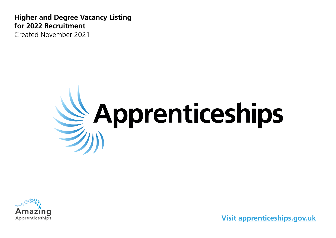**Higher and Degree Vacancy Listing for 2022 Recruitment** Created November 2021





**Visit [apprenticeships.gov.uk](http://apprenticeships.gov.uk)**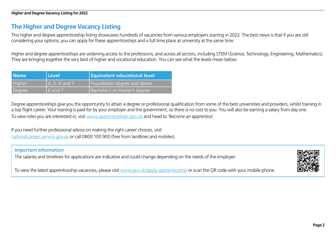# **The Higher and Degree Vacancy Listing**

This higher and degree apprenticeship listing showcases hundreds of vacancies from various employers starting in 2022. The best news is that if you are still considering your options, you can apply for these apprenticeships and a full time place at university at the same time.

Higher and degree apprenticeships are widening access to the professions, and across all sectors, including STEM (Science, Technology, Engineering, Mathematics). They are bringing together the very best of higher and vocational education. You can see what the levels mean below.

| <b>Name</b> | Level            | <b>Equivalent educational level</b> |
|-------------|------------------|-------------------------------------|
| Higher      | $14, 5, 6$ and 7 | Foundation degree and above         |
| Degree      | $\sqrt{6}$ and 7 | Bachelor's or master's degree       |

Degree apprenticeships give you the opportunity to attain a degree or professional qualification from some of the best universities and providers, whilst training in a top flight career. Your training is paid for by your employer and the government, so there is no cost to you. You will also be earning a salary from day one. To view roles you are interested in, visit [www.apprenticeships.gov.uk](http://www.apprenticeships.gov.uk) and head to 'Become an apprentice'.

If you need further professional advice on making the right career choices, visit: [nationalcareers.service.gov.uk](http://nationalcareers.service.gov.uk) or call 0800 100 900 (free from landlines and mobiles).

#### **Important information**

The salaries and timelines for applications are indicative and could change depending on the needs of the employer.

To view the latest apprenticeship vacancies, please visit [www.gov.uk/apply-apprenticeship](http://www.gov.uk/apply-apprenticeship) or scan the QR code with your mobile phone.

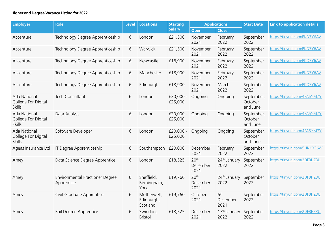| <b>Employer</b>                                             | <b>Role</b>                                   | <b>Level</b> | <b>Locations</b>                      | <b>Starting</b>        | <b>Applications</b>                  |                                     | <b>Start Date</b>                 | <b>Link to application details</b> |
|-------------------------------------------------------------|-----------------------------------------------|--------------|---------------------------------------|------------------------|--------------------------------------|-------------------------------------|-----------------------------------|------------------------------------|
|                                                             |                                               |              |                                       | <b>Salary</b>          | Open                                 | <b>Close</b>                        |                                   |                                    |
| Accenture                                                   | Technology Degree Apprenticeship              | 6            | London                                | £21,500                | November<br>2021                     | February<br>2022                    | September<br>2022                 | https://tinyurl.com/PKD7Y6AV       |
| Accenture                                                   | Technology Degree Apprenticeship              | 6            | Warwick                               | £21,500                | November<br>2021                     | February<br>2022                    | September<br>2022                 | https://tinyurl.com/PKD7Y6AV       |
| Accenture                                                   | Technology Degree Apprenticeship              | 6            | Newcastle                             | £18,900                | November<br>2021                     | February<br>2022                    | September<br>2022                 | https://tinyurl.com/PKD7Y6AV       |
| Accenture                                                   | Technology Degree Apprenticeship              | 6            | Manchester                            | £18,900                | November<br>2021                     | February<br>2022                    | September<br>2022                 | https://tinyurl.com/PKD7Y6AV       |
| Accenture                                                   | Technology Degree Apprenticeship              | 6            | Edinburgh                             | £18,900                | November<br>2021                     | March<br>2022                       | September<br>2022                 | https://tinyurl.com/PKD7Y6AV       |
| <b>Ada National</b><br>College For Digital<br><b>Skills</b> | Tech Consultant                               | 6            | London                                | £20,000 -<br>£25,000   | Ongoing                              | Ongoing                             | September,<br>October<br>and June | https://tinyurl.com/4PA5YM7Y       |
| <b>Ada National</b><br>College For Digital<br><b>Skills</b> | Data Analyst                                  | 6            | London                                | $£20,000 -$<br>£25,000 | Ongoing                              | Ongoing                             | September,<br>October<br>and June | https://tinyurl.com/4PA5YM7Y       |
| <b>Ada National</b><br>College For Digital<br><b>Skills</b> | Software Developer                            | 6            | London                                | £20,000 -<br>£25,000   | Ongoing                              | Ongoing                             | September,<br>October<br>and June | https://tinyurl.com/4PA5YM7Y       |
| Ageas Insurance Ltd                                         | IT Degree Apprenticeship                      | 6            | Southampton £20,000                   |                        | December<br>2021                     | February<br>2022                    | September<br>2022                 | https://tinyurl.com/5HNKXE6W       |
| Amey                                                        | Data Science Degree Apprentice                | 6            | London                                | £18,525                | 20 <sup>th</sup><br>December<br>2021 | 24th January<br>2022                | September<br>2022                 | https://tinyurl.com/2DFBHZ3U       |
| Amey                                                        | Environmental Practioner Degree<br>Apprentice | 6            | Sheffield,<br>Birmingham,<br>York     | £19,760                | 20 <sup>th</sup><br>December<br>2021 | 24 <sup>th</sup> January<br>2022    | September<br>2022                 | https://tinyurl.com/2DFBHZ3U       |
| Amey                                                        | Civil Graduate Apprentice                     | 6            | Motherwell,<br>Edinburgh,<br>Scotland | £19,760                | October<br>2021                      | 6 <sup>th</sup><br>December<br>2021 | September<br>2022                 | https://tinyurl.com/2DFBHZ3U       |
| Amey                                                        | Rail Degree Apprentice                        | 6            | Swindon,<br><b>Bristol</b>            | £18,525                | December<br>2021                     | 17 <sup>th</sup> January<br>2022    | September<br>2022                 | https://tinyurl.com/2DFBHZ3U       |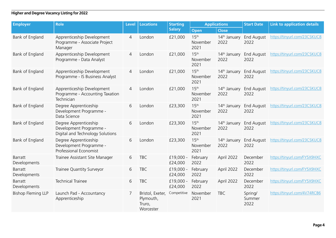| <b>Employer</b>                | <b>Role</b>                                                                          | <b>Level</b> | <b>Locations</b>                                     | <b>Starting</b>      | <b>Applications</b>                  |                                  | <b>Start Date</b>         | <b>Link to application details</b> |
|--------------------------------|--------------------------------------------------------------------------------------|--------------|------------------------------------------------------|----------------------|--------------------------------------|----------------------------------|---------------------------|------------------------------------|
|                                |                                                                                      |              |                                                      | <b>Salary</b>        | <b>Open</b>                          | <b>Close</b>                     |                           |                                    |
| Bank of England                | Apprenticeship Development<br>Programme - Associate Project<br>Manager               | 4            | London                                               | £21,000              | 15 <sup>th</sup><br>November<br>2021 | 14 <sup>th</sup> January<br>2022 | <b>End August</b><br>2022 | https://tinyurl.com/23CSKUC8       |
| Bank of England                | Apprenticeship Development<br>Programme - Data Analyst                               | 4            | London                                               | £21,000              | 15 <sup>th</sup><br>November<br>2021 | 14 <sup>th</sup> January<br>2022 | <b>End August</b><br>2022 | https://tinyurl.com/23CSKUC8       |
| Bank of England                | Apprenticeship Development<br>Programme - IS Business Analyst                        | 4            | London                                               | £21,000              | 15 <sup>th</sup><br>November<br>2021 | 14 <sup>th</sup> January<br>2022 | <b>End August</b><br>2022 | https://tinyurl.com/23CSKUC8       |
| Bank of England                | Apprenticeship Development<br>Programme - Accounting Taxation<br>Technician          | 4            | London                                               | £21,000              | 15 <sup>th</sup><br>November<br>2021 | 14 <sup>th</sup> January<br>2022 | <b>End August</b><br>2022 | https://tinyurl.com/23CSKUC8       |
| Bank of England                | Degree Apprenticeship<br>Development Programme -<br>Data Science                     | 6            | London                                               | £23,300              | 15 <sup>th</sup><br>November<br>2021 | 14 <sup>th</sup> January<br>2022 | <b>End August</b><br>2022 | https://tinyurl.com/23CSKUC8       |
| Bank of England                | Degree Apprenticeship<br>Development Programme -<br>Digital and Technology Solutions | 6            | London                                               | £23,300              | 15 <sup>th</sup><br>November<br>2021 | 14 <sup>th</sup> January<br>2022 | <b>End August</b><br>2022 | https://tinyurl.com/23CSKUC8       |
| Bank of England                | Degree Apprenticeship<br>Development Programme -<br>Professional Economist           | 6            | London                                               | £23,300              | 15 <sup>th</sup><br>November<br>2021 | 14 <sup>th</sup> January<br>2022 | <b>End August</b><br>2022 | https://tinyurl.com/23CSKUC8       |
| <b>Barratt</b><br>Developments | Trainee Assistant Site Manager                                                       | 6            | <b>TBC</b>                                           | £19,000 -<br>£24,000 | February<br>2022                     | April 2022                       | December<br>2022          | https://tinyurl.com/FY5X9HXC       |
| Barratt<br>Developments        | Trainee Quantity Surveyor                                                            | 6            | <b>TBC</b>                                           | £19,000 -<br>£24,000 | February<br>2022                     | April 2022                       | December<br>2022          | https://tinyurl.com/FY5X9HXC       |
| <b>Barratt</b><br>Developments | <b>Technical Trainee</b>                                                             | 6            | <b>TBC</b>                                           | £19,000 -<br>£24,000 | February<br>2022                     | April 2022                       | December<br>2022          | https://tinyurl.com/FY5X9HXC       |
| <b>Bishop Fleming LLP</b>      | Launch Pad - Accountancy<br>Apprenticeship                                           | 7            | Bristol, Exeter,<br>Plymouth,<br>Truro,<br>Worcester | Competitive          | November<br>2021                     | <b>TBC</b>                       | Spring/<br>Summer<br>2022 | https://tinyurl.com/4V74RCB6       |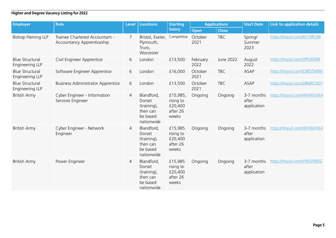| <b>Employer</b>                                  | <b>Role</b>                                                         | <b>Level</b>   | Locations                                                                 | <b>Starting</b>                                       |                  | <b>Applications</b> | <b>Start Date</b>                  | <b>Link to application details</b> |
|--------------------------------------------------|---------------------------------------------------------------------|----------------|---------------------------------------------------------------------------|-------------------------------------------------------|------------------|---------------------|------------------------------------|------------------------------------|
|                                                  |                                                                     |                |                                                                           | <b>Salary</b>                                         | <b>Open</b>      | <b>Close</b>        |                                    |                                    |
| <b>Bishop Fleming LLP</b>                        | Trainee Chartered Accountant -<br><b>Accountancy Apprenticeship</b> | 7              | Bristol, Exeter,<br>Plymouth,<br>Truro,<br>Worcester                      | Competitive                                           | October<br>2021  | <b>TBC</b>          | Spring/<br>Summer<br>2023          | https://tinyurl.com/4V74RCB6       |
| <b>Blue Structural</b><br>Engineering LLP        | Civil Engineer Apprentice                                           | 6              | London                                                                    | £13,500                                               | February<br>2022 | June 2022           | August<br>2022                     | https://tinyurl.com/3PPUEKB9       |
| <b>Blue Structural</b><br><b>Engineering LLP</b> | Software Engineer Apprentice                                        | 6              | London                                                                    | £16,000                                               | October<br>2021  | <b>TBC</b>          | ASAP                               | https://tinyurl.com/E5B5ZW8W       |
| <b>Blue Structural</b><br>Engineering LLP        | <b>Business Administrator Apprentice</b>                            | 6              | London                                                                    | £13,500                                               | October<br>2021  | <b>TBC</b>          | <b>ASAP</b>                        | https://tinyurl.com/28MPCVDY       |
| <b>British Army</b>                              | Cyber Engineer - Information<br>Services Engineer                   | $\overline{4}$ | Blandford,<br>Dorset<br>(training),<br>then can<br>be based<br>nationwide | £15,985,<br>rising to<br>£20,400<br>after 26<br>weeks | Ongoing          | Ongoing             | 3-7 months<br>after<br>application | https://tinyurl.com/HFHWVXK4       |
| <b>British Army</b>                              | Cyber Engineer - Network<br>Engineer                                | 4              | Blandford,<br>Dorset<br>(training),<br>then can<br>be based<br>nationwide | £15,985<br>rising to<br>£20,400<br>after 26<br>weeks  | Ongoing          | Ongoing             | 3-7 months<br>after<br>application | https://tinyurl.com/HFHWVXK4       |
| <b>British Army</b>                              | Power Engineer                                                      | 4              | Blandford,<br>Dorset<br>(training),<br>then can<br>be based<br>nationwide | £15,985<br>rising to<br>£20,400<br>after 26<br>weeks  | Ongoing          | Ongoing             | 3-7 months<br>after<br>application | https://tinyurl.com/VWSVR9DZ       |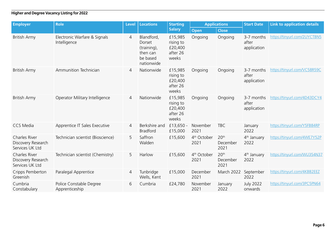| <b>Employer</b>                                        | <b>Role</b>                                  | <b>Level</b>   | <b>Locations</b>                                                          | <b>Starting</b>                                      |                                 | <b>Applications</b>                  | <b>Start Date</b>                  | <b>Link to application details</b> |
|--------------------------------------------------------|----------------------------------------------|----------------|---------------------------------------------------------------------------|------------------------------------------------------|---------------------------------|--------------------------------------|------------------------------------|------------------------------------|
|                                                        |                                              |                |                                                                           | <b>Salary</b>                                        | Open                            | <b>Close</b>                         |                                    |                                    |
| <b>British Army</b>                                    | Electronic Warfare & Signals<br>Intelligence | $\overline{4}$ | Blandford,<br>Dorset<br>(training),<br>then can<br>be based<br>nationwide | £15,985<br>rising to<br>£20,400<br>after 26<br>weeks | Ongoing                         | Ongoing                              | 3-7 months<br>after<br>application | https://tinyurl.com/2UYCTBN5       |
| <b>British Army</b>                                    | Ammunition Technician                        | $\overline{4}$ | Nationwide                                                                | £15,985<br>rising to<br>£20,400<br>after 26<br>weeks | Ongoing                         | Ongoing                              | 3-7 months<br>after<br>application | https://tinyurl.com/VC58R59C       |
| <b>British Army</b>                                    | Operator Military Intelligence               | $\overline{4}$ | Nationwide                                                                | £15,985<br>rising to<br>£20,400<br>after 26<br>weeks | Ongoing                         | Ongoing                              | 3-7 months<br>after<br>application | https://tinyurl.com/4D43DCY4       |
| <b>CCS Media</b>                                       | Apprentice IT Sales Executive                | 4              | Berkshire and<br><b>Bradford</b>                                          | £13,650 -<br>£15,000                                 | November<br>2021                | <b>TBC</b>                           | January<br>2022                    | https://tinyurl.com/Y5FB84RP       |
| Charles River<br>Discovery Research<br>Services UK Ltd | Technician scientist (Bioscience)            | 5              | Saffron<br>Walden                                                         | £15,600                                              | 4 <sup>th</sup> October<br>2021 | 20 <sup>th</sup><br>December<br>2021 | 4 <sup>th</sup> January<br>2022    | https://tinyurl.com/4WE7Y52P       |
| Charles River<br>Discovery Research<br>Services UK Ltd | Technician scientist (Chemistry)             | 5              | Harlow                                                                    | £15,600                                              | 4 <sup>th</sup> October<br>2021 | 20 <sup>th</sup><br>December<br>2021 | 4 <sup>th</sup> January<br>2022    | https://tinyurl.com/WU354N37       |
| Cripps Pemberton<br>Greenish                           | Paralegal Apprentice                         | $\overline{4}$ | Tunbridge<br>Wells, Kent                                                  | £15,000                                              | December<br>2021                | March 2022                           | September<br>2022                  | https://tinyurl.com/4KBB2EEZ       |
| Cumbria<br>Constabulary                                | Police Constable Degree<br>Apprenticeship    | 6              | Cumbria                                                                   | £24,780                                              | November<br>2021                | January<br>2022                      | <b>July 2022</b><br>onwards        | https://tinyurl.com/3PC5PN64       |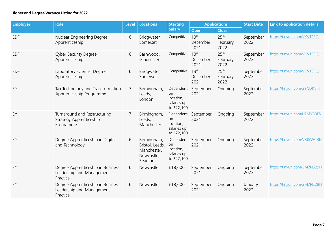| <b>Employer</b> | <b>Role</b>                                                                | <b>Level</b> | <b>Locations</b>                                                        | <b>Starting</b>                                           | <b>Applications</b>                  |                                      | <b>Start Date</b> | <b>Link to application details</b> |
|-----------------|----------------------------------------------------------------------------|--------------|-------------------------------------------------------------------------|-----------------------------------------------------------|--------------------------------------|--------------------------------------|-------------------|------------------------------------|
|                 |                                                                            |              |                                                                         | <b>Salary</b>                                             | <b>Open</b>                          | <b>Close</b>                         |                   |                                    |
| <b>EDF</b>      | Nuclear Engineering Degree<br>Apprenticeship                               | 6            | Bridgwater,<br>Somerset                                                 | Competitive                                               | 13 <sup>th</sup><br>December<br>2021 | 25 <sup>th</sup><br>February<br>2022 | September<br>2022 | https://tinyurl.com/VKVTERCJ       |
| <b>EDF</b>      | <b>Cyber Security Degree</b><br>Apprenticeship                             | 6            | Barnwood,<br>Gloucester                                                 | Competitive                                               | 13 <sup>th</sup><br>December<br>2021 | 25 <sup>th</sup><br>February<br>2022 | September<br>2022 | https://tinyurl.com/VKVTERCJ       |
| <b>EDF</b>      | Laboratory Scientist Degree<br>Apprenticeship                              | 6            | Bridgwater,<br>Somerset                                                 | Competitive                                               | 13 <sup>th</sup><br>December<br>2021 | 25 <sup>th</sup><br>February<br>2022 | September<br>2022 | https://tinyurl.com/VKVTERCJ       |
| EY              | Tax Technology and Transformation<br>Apprenticeship Programme              | 7            | Birmingham,<br>Leeds,<br>London                                         | on<br>location,<br>salaries up<br>to £22,100              | Dependent September<br>2021          | Ongoing                              | September<br>2022 | https://tinyurl.com/39NDK8FT       |
| EY              | Turnaround and Restructuring<br>Strategy Apprenticeship<br>Programme       | 7            | Birmingham,<br>Leeds,<br>Manchester                                     | on<br>location,<br>salaries up<br>to £22,100              | Dependent September<br>2021          | Ongoing                              | September<br>2022 | https://tinyurl.com/HFMYB3FS       |
| EY              | Degree Apprenticeship in Digital<br>and Technology                         | 6            | Birmingham,<br>Bristol, Leeds,<br>Manchester,<br>Newcastle,<br>Reading, | Dependent<br>on<br>location,<br>salaries up<br>to £22,100 | September<br>2021                    | Ongoing                              | September<br>2022 | https://tinyurl.com/V8J5WCBM       |
| EY              | Degree Apprenticeship in Business<br>Leadership and Management<br>Practice | 6            | Newcastle                                                               | £18,600                                                   | September<br>2021                    | Ongoing                              | September<br>2022 | https://tinyurl.com/3M7NS29H       |
| EY              | Degree Apprenticeship in Business<br>Leadership and Management<br>Practice | 6            | Newcastle                                                               | £18,600                                                   | September<br>2021                    | Ongoing                              | January<br>2022   | https://tinyurl.com/3M7NS29H       |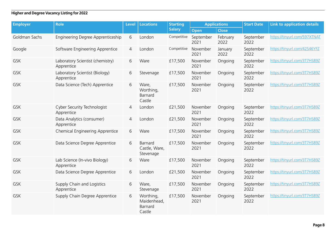| <b>Employer</b> | <b>Role</b>                                    | <b>Level</b>   | <b>Locations</b>                              | <b>Starting</b> |                   | <b>Applications</b> |                   | <b>Link to application details</b> |
|-----------------|------------------------------------------------|----------------|-----------------------------------------------|-----------------|-------------------|---------------------|-------------------|------------------------------------|
|                 |                                                |                |                                               | <b>Salary</b>   | <b>Open</b>       | <b>Close</b>        |                   |                                    |
| Goldman Sachs   | Engineering Degree Apprenticeship              | 6              | London                                        | Competitive     | September<br>2021 | February<br>2022    | September<br>2022 | https://tinyurl.com/597XTNAT       |
| Google          | Software Engineering Apprentice                | $\overline{4}$ | London                                        | Competitive     | November<br>2021  | January<br>2022     | September<br>2022 | https://tinyurl.com/42S46YFZ       |
| <b>GSK</b>      | Laboratory Scientist (chemistry)<br>Apprentice | 6              | Ware                                          | £17,500         | November<br>2021  | Ongoing             | September<br>2022 | https://tinyurl.com/3T7HS89Z       |
| <b>GSK</b>      | Laboratory Scientist (Biology)<br>Apprentice   | 6              | Stevenage                                     | £17,500         | November<br>2021  | Ongoing             | September<br>2022 | https://tinyurl.com/3T7HS89Z       |
| GSK             | Data Science (Tech) Apprentice                 | 6              | Ware,<br>Worthing,<br>Barnard<br>Castle       | £17,500         | November<br>2021  | Ongoing             | September<br>2022 | https://tinyurl.com/3T7HS89Z       |
| <b>GSK</b>      | Cyber Security Technologist<br>Apprentice      | 4              | London                                        | £21,500         | November<br>2021  | Ongoing             | September<br>2022 | https://tinyurl.com/3T7HS89Z       |
| <b>GSK</b>      | Data Analytics (consumer)<br>Apprentice        | 4              | London                                        | £21,500         | November<br>2021  | Ongoing             | September<br>2022 | https://tinyurl.com/3T7HS89Z       |
| <b>GSK</b>      | Chemical Engineering Apprentice                | 6              | Ware                                          | £17,500         | November<br>2021  | Ongoing             | September<br>2022 | https://tinyurl.com/3T7HS89Z       |
| <b>GSK</b>      | Data Science Degree Apprentice                 | 6              | Barnard<br>Castle, Ware,<br>Stevenage         | £17,500         | November<br>2021  | Ongoing             | September<br>2022 | https://tinyurl.com/3T7HS89Z       |
| <b>GSK</b>      | Lab Science (In-vivo Biology)<br>Apprentice    | 6              | Ware                                          | £17,500         | November<br>2021  | Ongoing             | September<br>2022 | https://tinyurl.com/3T7HS89Z       |
| <b>GSK</b>      | Data Science Degree Apprentice                 | 6              | London                                        | £21,500         | November<br>2021  | Ongoing             | September<br>2022 | https://tinyurl.com/3T7HS89Z       |
| <b>GSK</b>      | Supply Chain and Logistics<br>Apprentice       | 6              | Ware,<br>Stevenage                            | £17,500         | November<br>2021  | Ongoing             | September<br>2022 | https://tinyurl.com/3T7HS89Z       |
| <b>GSK</b>      | Supply Chain Degree Apprentice                 | 6              | Worthing,<br>Maidenhead,<br>Barnard<br>Castle | £17,500         | November<br>2021  | Ongoing             | September<br>2022 | https://tinyurl.com/3T7HS89Z       |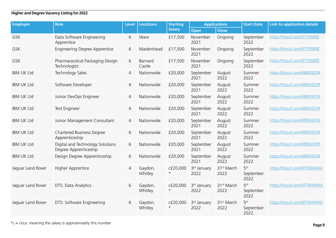| <b>Employer</b>   | <b>Role</b>                                               | <b>Level</b>   | <b>Locations</b>   | <b>Starting</b>        | <b>Applications</b> |                                | <b>Start Date</b>                    | <b>Link to application details</b> |
|-------------------|-----------------------------------------------------------|----------------|--------------------|------------------------|---------------------|--------------------------------|--------------------------------------|------------------------------------|
|                   |                                                           |                |                    | <b>Salary</b>          | Open                | <b>Close</b>                   |                                      |                                    |
| GSK               | Data Software Engineering<br>Apprentice                   | 6              | Ware               | £17,500                | November<br>2021    | Ongoing                        | September<br>2022                    | https://tinyurl.com/3T7HS89Z       |
| GSK               | <b>Engineering Degree Apprentice</b>                      | 6              | Maidenhead         | £17,500                | November<br>2021    | Ongoing                        | September<br>2022                    | https://tinyurl.com/3T7HS89Z       |
| <b>GSK</b>        | Pharmaceutical Packaging Design<br>Technologist           | 6              | Barnard<br>Castle  | £17,500                | November<br>2021    | Ongoing                        | September<br>2022                    | https://tinyurl.com/3T7HS89Z       |
| <b>IBM UK Ltd</b> | <b>Technology Sales</b>                                   | 4              | Nationwide         | £20,000                | September<br>2021   | August<br>2022                 | Summer<br>2022                       | https://tinyurl.com/4RBXXZVR       |
| <b>IBM UK Ltd</b> | Software Developer                                        | $\overline{4}$ | Nationwide         | £20,000                | September<br>2021   | August<br>2022                 | Summer<br>2022                       | https://tinyurl.com/4RBXXZVR       |
| <b>IBM UK Ltd</b> | Junior DevOps Engineer                                    | 4              | Nationwide         | £20,000                | September<br>2021   | August<br>2022                 | Summer<br>2022                       | https://tinyurl.com/4RBXXZVR       |
| <b>IBM UK Ltd</b> | Test Engineer                                             | $\overline{4}$ | Nationwide         | £20,000                | September<br>2021   | August<br>2022                 | Summer<br>2022                       | https://tinyurl.com/4RBXXZVR       |
| <b>IBM UK Ltd</b> | Junior Management Consultant                              | 4              | Nationwide         | £20,000                | September<br>2021   | August<br>2022                 | Summer<br>2022                       | https://tinyurl.com/4RBXXZVR       |
| <b>IBM UK Ltd</b> | <b>Chartered Business Degree</b><br>Apprenticeship        | 6              | Nationwide         | £20,000                | September<br>2021   | August<br>2022                 | Summer<br>2022                       | https://tinyurl.com/4RBXXZVR       |
| <b>IBM UK Ltd</b> | Digital and Technology Solutions<br>Degree Apprenticeship | 6              | Nationwide         | £20,000                | September<br>2021   | August<br>2022                 | Summer<br>2022                       | https://tinyurl.com/4RBXXZVR       |
| <b>IBM UK Ltd</b> | Design Degree Apprenticeship                              | 6              | Nationwide         | £20,000                | September<br>2021   | August<br>2022                 | Summer<br>2022                       | https://tinyurl.com/4RBXXZVR       |
| Jaguar Land Rover | Higher Apprentice                                         | $\overline{4}$ | Gaydon,<br>Whitley | c£20,000<br>$^{\star}$ | 3rd January<br>2022 | 31 <sup>st</sup> March<br>2022 | 5 <sup>th</sup><br>September<br>2022 | https://tinyurl.com/4FTWAWAX       |
| Jaguar Land Rover | DTS: Data Analytics                                       | 6              | Gaydon,<br>Whitley | c£20,000               | 3rd January<br>2022 | 31 <sup>st</sup> March<br>2022 | 5 <sup>th</sup><br>September<br>2022 | https://tinyurl.com/4FTWAWAX       |
| Jaguar Land Rover | DTS: Software Engineering                                 | 6              | Gaydon,<br>Whitley | cf20,000<br>$^\star$   | 3rd January<br>2022 | 31 <sup>st</sup> March<br>2022 | 5 <sup>th</sup><br>September<br>2022 | https://tinyurl.com/4FTWAWAX       |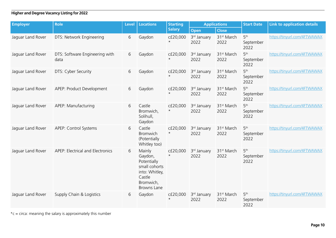| <b>Employer</b>   | <b>Role</b>                            | <b>Level</b> | <b>Locations</b>                                                                                          | <b>Starting</b>      | <b>Applications</b> |                                | <b>Start Date</b>                    | <b>Link to application details</b> |
|-------------------|----------------------------------------|--------------|-----------------------------------------------------------------------------------------------------------|----------------------|---------------------|--------------------------------|--------------------------------------|------------------------------------|
|                   |                                        |              |                                                                                                           | <b>Salary</b>        | Open                | <b>Close</b>                   |                                      |                                    |
| Jaguar Land Rover | DTS: Network Engineering               | 6            | Gaydon                                                                                                    | cf20,000             | 3rd January<br>2022 | 31 <sup>st</sup> March<br>2022 | 5 <sup>th</sup><br>September<br>2022 | https://tinyurl.com/4FTWAWAX       |
| Jaguar Land Rover | DTS: Software Engineering with<br>data | 6            | Gaydon                                                                                                    | c£20,000<br>$^\star$ | 3rd January<br>2022 | 31 <sup>st</sup> March<br>2022 | 5 <sup>th</sup><br>September<br>2022 | https://tinyurl.com/4FTWAWAX       |
| Jaguar Land Rover | DTS: Cyber Security                    | 6            | Gaydon                                                                                                    | c£20,000<br>$\star$  | 3rd January<br>2022 | 31 <sup>st</sup> March<br>2022 | 5 <sup>th</sup><br>September<br>2022 | https://tinyurl.com/4FTWAWAX       |
| Jaguar Land Rover | APEP: Product Development              | 6            | Gaydon                                                                                                    | cf20,000             | 3rd January<br>2022 | 31 <sup>st</sup> March<br>2022 | 5 <sup>th</sup><br>September<br>2022 | https://tinyurl.com/4FTWAWAX       |
| Jaguar Land Rover | APEP: Manufacturing                    | 6            | Castle<br>Bromwich,<br>Solihull,<br>Gaydon                                                                | c£20,000<br>$^\star$ | 3rd January<br>2022 | 31 <sup>st</sup> March<br>2022 | 5 <sup>th</sup><br>September<br>2022 | https://tinyurl.com/4FTWAWAX       |
| Jaguar Land Rover | APEP: Control Systems                  | 6            | Castle<br><b>Bromwich</b><br>(Potentially<br>Whitley too)                                                 | c£20,000<br>$^\star$ | 3rd January<br>2022 | 31 <sup>st</sup> March<br>2022 | 5 <sup>th</sup><br>September<br>2022 | https://tinyurl.com/4FTWAWAX       |
| Jaguar Land Rover | APEP: Electrical and Electronics       | 6            | Mainly<br>Gaydon,<br>Potentially<br>small cohorts<br>into: Whitley,<br>Castle<br>Bromwich,<br>Browns Lane | c£20,000<br>$^\star$ | 3rd January<br>2022 | 31 <sup>st</sup> March<br>2022 | 5 <sup>th</sup><br>September<br>2022 | https://tinyurl.com/4FTWAWAX       |
| Jaguar Land Rover | Supply Chain & Logistics               | 6            | Gaydon                                                                                                    | c£20,000             | 3rd January<br>2022 | 31 <sup>st</sup> March<br>2022 | 5 <sup>th</sup><br>September<br>2022 | https://tinyurl.com/4FTWAWAX       |

 $*c = circa$ : meaning the salary is approximately this number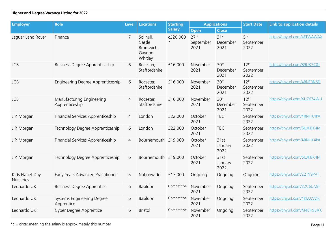| <b>Employer</b>                     | <b>Role</b>                                 | <b>Level</b>   | <b>Locations</b>                                       | <b>Starting</b> | <b>Applications</b>                   |                                      | <b>Start Date</b>                     | <b>Link to application details</b> |
|-------------------------------------|---------------------------------------------|----------------|--------------------------------------------------------|-----------------|---------------------------------------|--------------------------------------|---------------------------------------|------------------------------------|
|                                     |                                             |                |                                                        | <b>Salary</b>   | Open                                  | <b>Close</b>                         |                                       |                                    |
| Jaguar Land Rover                   | Finance                                     | $\overline{7}$ | Solihull,<br>Castle<br>Bromwich,<br>Gaydon,<br>Whitley | c£20,000        | 27 <sup>th</sup><br>September<br>2021 | 31 <sup>st</sup><br>December<br>2021 | 5 <sup>th</sup><br>September<br>2022  | https://tinyurl.com/4FTWAWAX       |
| <b>JCB</b>                          | <b>Business Degree Apprenticeship</b>       | 6              | Rocester,<br>Staffordshire                             | £16,000         | November<br>2021                      | 30 <sup>th</sup><br>December<br>2021 | 12 <sup>th</sup><br>September<br>2022 | https://tinyurl.com/89UK7C8J       |
| <b>JCB</b>                          | Engineering Degree Apprenticeship           | 6              | Rocester,<br>Staffordshire                             | £16,000         | November<br>2021                      | 30 <sup>th</sup><br>December<br>2021 | $12^{\text{th}}$<br>September<br>2022 | https://tinyurl.com/4BNE3N6D       |
| <b>JCB</b>                          | Manufacturing Engineering<br>Apprenticeship | $\overline{4}$ | Rocester,<br>Staffordshire                             | £16,000         | November<br>2021                      | 30th<br>December<br>2021             | 12 <sup>th</sup><br>September<br>2022 | https://tinyurl.com/XU7674WH       |
| J.P. Morgan                         | Financial Services Apprenticeship           | 4              | London                                                 | £22,000         | October<br>2021                       | <b>TBC</b>                           | September<br>2022                     | https://tinyurl.com/4RNHK4PA       |
| J.P. Morgan                         | Technology Degree Apprenticeship            | 6              | London                                                 | £22,000         | October<br>2021                       | <b>TBC</b>                           | September<br>2022                     | https://tinyurl.com/5UJKBK4M       |
| J.P. Morgan                         | Financial Services Apprenticeship           | $\overline{4}$ | Bournemouth £19,000                                    |                 | October<br>2021                       | 31st<br>January<br>2022              | September<br>2022                     | https://tinyurl.com/4RNHK4PA       |
| J.P. Morgan                         | Technology Degree Apprenticeship            | 6              | Bournemouth £19,000                                    |                 | October<br>2021                       | 31st<br>January<br>2022              | September<br>2022                     | https://tinyurl.com/5UJKBK4M       |
| Kids Planet Day<br><b>Nurseries</b> | Early Years Advanced Practitioner           | 5              | Nationwide                                             | £17,000         | Ongoing                               | Ongoing                              | Ongoing                               | https://tinyurl.com/22TY9PVT       |
| Leonardo UK                         | <b>Business Degree Apprentice</b>           | 6              | Basildon                                               | Competitive     | November<br>2021                      | Ongoing                              | September<br>2022                     | https://tinyurl.com/32C6UN8F       |
| Leonardo UK                         | Systems Engineering Degree<br>Apprentice    | 6              | Basildon                                               | Competitive     | November<br>2021                      | Ongoing                              | September<br>2022                     | https://tinyurl.com/4KEUJVDR       |
| Leonardo UK                         | Cyber Degree Apprentice                     | 6              | <b>Bristol</b>                                         | Competitive     | November<br>2021                      | Ongoing                              | September<br>2022                     | https://tinyurl.com/M4BH9BAK       |

 $*c = circa$ : meaning the salary is approximately this number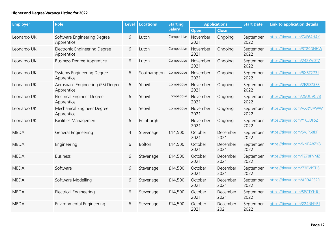| <b>Employer</b> | <b>Role</b>                                     | <b>Level</b>   | <b>Locations</b> | <b>Starting</b> | <b>Applications</b> |                  | <b>Start Date</b> | <b>Link to application details</b> |
|-----------------|-------------------------------------------------|----------------|------------------|-----------------|---------------------|------------------|-------------------|------------------------------------|
|                 |                                                 |                |                  | <b>Salary</b>   | <b>Open</b>         | <b>Close</b>     |                   |                                    |
| Leonardo UK     | Software Engineering Degree<br>Apprentice       | 6              | Luton            | Competitive     | November<br>2021    | Ongoing          | September<br>2022 | https://tinyurl.com/ZXF64H4K       |
| Leonardo UK     | Electronic Engineering Degree<br>Apprentice     | 6              | Luton            | Competitive     | November<br>2021    | Ongoing          | September<br>2022 | https://tinyurl.com/3T89DNHW       |
| Leonardo UK     | <b>Business Degree Apprentice</b>               | 6              | Luton            | Competitive     | November<br>2021    | Ongoing          | September<br>2022 | https://tinyurl.com/242YVDTZ       |
| Leonardo UK     | Systems Engineering Degree<br>Apprentice        | 6              | Southampton      | Competitive     | November<br>2021    | Ongoing          | September<br>2022 | https://tinyurl.com/5X8T273J       |
| Leonardo UK     | Aerospace Engineering (PS) Degree<br>Apprentice | 6              | Yeovil           | Competitive     | November<br>2021    | Ongoing          | September<br>2022 | https://tinyurl.com/2E2D738E       |
| Leonardo UK     | Electrical Engineer Degree<br>Apprentice        | 6              | Yeovil           | Competitive     | November<br>2021    | Ongoing          | September<br>2022 | https://tinyurl.com/25UC9C7B       |
| Leonardo UK     | Mechanical Engineer Degree<br>Apprentice        | 6              | Yeovil           | Competitive     | November<br>2021    | Ongoing          | September<br>2022 | https://tinyurl.com/VXRYJAWW       |
| Leonardo UK     | Facilities Management                           | 6              | Edinburgh        |                 | November<br>2021    | Ongoing          | September<br>2022 | https://tinyurl.com/YKUDF5ZT       |
| <b>MBDA</b>     | General Engineering                             | $\overline{4}$ | Stevenage        | £14,500         | October<br>2021     | December<br>2021 | September<br>2022 | https://tinyurl.com/SVJP68BF       |
| <b>MBDA</b>     | Engineering                                     | 6              | Bolton           | £14,500         | October<br>2021     | December<br>2021 | September<br>2022 | https://tinyurl.com/NNEA8ZY8       |
| <b>MBDA</b>     | <b>Business</b>                                 | 6              | Stevenage        | £14,500         | October<br>2021     | December<br>2021 | September<br>2022 | https://tinyurl.com/FZ78PVMZ       |
| <b>MBDA</b>     | Software                                        | 6              | Stevenage        | £14,500         | October<br>2021     | December<br>2021 | September<br>2022 | https://tinyurl.com/73BVPTDS       |
| <b>MBDA</b>     | Software Modelling                              | 6              | Stevenage        | £14,500         | October<br>2021     | December<br>2021 | September<br>2022 | https://tinyurl.com/AR9AFS2R       |
| <b>MBDA</b>     | <b>Electrical Engineering</b>                   | 6              | Stevenage        | £14,500         | October<br>2021     | December<br>2021 | September<br>2022 | https://tinyurl.com/SPCTYHJU       |
| <b>MBDA</b>     | Environmental Engineering                       | 6              | Stevenage        | £14,500         | October<br>2021     | December<br>2021 | September<br>2022 | https://tinyurl.com/224NNYRJ       |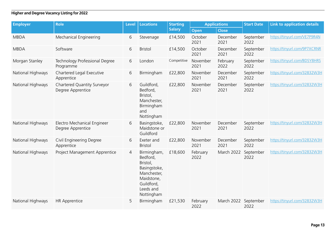| <b>Employer</b>   | <b>Role</b>                                      | <b>Level</b>   | <b>Locations</b>                                                                                                          | <b>Starting</b> | <b>Applications</b> |                  | <b>Start Date</b> | <b>Link to application details</b> |
|-------------------|--------------------------------------------------|----------------|---------------------------------------------------------------------------------------------------------------------------|-----------------|---------------------|------------------|-------------------|------------------------------------|
|                   |                                                  |                |                                                                                                                           | <b>Salary</b>   | Open                | <b>Close</b>     |                   |                                    |
| <b>MBDA</b>       | Mechanical Engineering                           | 6              | Stevenage                                                                                                                 | £14,500         | October<br>2021     | December<br>2021 | September<br>2022 | https://tinyurl.com/VE7P9R4N       |
| <b>MBDA</b>       | Software                                         | 6              | <b>Bristol</b>                                                                                                            | £14,500         | October<br>2021     | December<br>2021 | September<br>2022 | https://tinyurl.com/9P7XCRNR       |
| Morgan Stanley    | Technology Professional Degree<br>Programme      | 6              | London                                                                                                                    | Competitive     | November<br>2021    | February<br>2022 | September<br>2022 | https://tinyurl.com/BDSY8HRS       |
| National Highways | Chartered Legal Executive<br>Apprentice          | 6              | Birmingham                                                                                                                | £22,800         | November<br>2021    | December<br>2021 | September<br>2022 | https://tinyurl.com/32832W3H       |
| National Highways | Chartered Quantity Surveyor<br>Degree Apprentice | 6              | Guildford,<br>Bedford,<br>Bristol,<br>Manchester,<br>Birmingham<br>and<br>Nottingham                                      | £22,800         | November<br>2021    | December<br>2021 | September<br>2022 | https://tinyurl.com/32832W3H       |
| National Highways | Electro Mechanical Engineer<br>Degree Apprentice | 6              | Basingstoke,<br>Maidstone or<br>Guildford                                                                                 | £22,800         | November<br>2021    | December<br>2021 | September<br>2022 | https://tinyurl.com/32832W3H       |
| National Highways | Civil Engineering Degree<br>Apprentice           | 6              | Exeter and<br><b>Bristol</b>                                                                                              | £22,800         | November<br>2021    | December<br>2021 | September<br>2022 | https://tinyurl.com/32832W3H       |
| National Highways | Project Management Apprentice                    | $\overline{4}$ | Birmingham,<br>Bedford,<br>Bristol,<br>Basingstoke,<br>Manchester,<br>Maidstone,<br>Guildford,<br>Leeds and<br>Nottingham | £18,600         | February<br>2022    | March 2022       | September<br>2022 | https://tinyurl.com/32832W3H       |
| National Highways | <b>HR Apprentice</b>                             | 5              | Birmingham                                                                                                                | £21,530         | February<br>2022    | March 2022       | September<br>2022 | https://tinyurl.com/32832W3H       |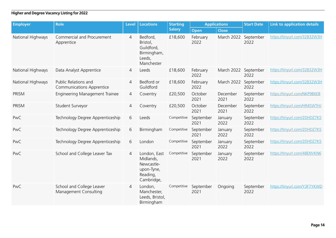| <b>Employer</b>   | <b>Role</b>                                              | Level          | <b>Locations</b>                                                                | <b>Starting</b> | <b>Applications</b> |                      | <b>Start Date</b> | <b>Link to application details</b> |
|-------------------|----------------------------------------------------------|----------------|---------------------------------------------------------------------------------|-----------------|---------------------|----------------------|-------------------|------------------------------------|
|                   |                                                          |                |                                                                                 | <b>Salary</b>   | <b>Open</b>         | Close                |                   |                                    |
| National Highways | Commercial and Procurement<br>Apprentice                 | $\overline{4}$ | Bedford,<br>Bristol,<br>Guildford,<br>Birmingham,<br>Leeds,<br>Manchester       | £18,600         | February<br>2022    | March 2022           | September<br>2022 | https://tinyurl.com/32832W3H       |
| National Highways | Data Analyst Apprentice                                  | $\overline{4}$ | Leeds                                                                           | £18,600         | February<br>2022    | March 2022 September | 2022              | https://tinyurl.com/32832W3H       |
| National Highways | Public Relations and<br><b>Communications Apprentice</b> | $\overline{4}$ | Bedford or<br>Guildford                                                         | £18,600         | February<br>2022    | March 2022           | September<br>2022 | https://tinyurl.com/32832W3H       |
| PRISM             | <b>Engineering Management Trainee</b>                    | $\overline{4}$ | Coventry                                                                        | £20,500         | October<br>2021     | December<br>2021     | September<br>2022 | https://tinyurl.com/NKP9B6E8       |
| PRISM             | Student Surveyor                                         | $\overline{4}$ | Coventry                                                                        | £20,500         | October<br>2021     | December<br>2021     | September<br>2022 | https://tinyurl.com/HR4SWTHJ       |
| PwC               | Technology Degree Apprenticeship                         | 6              | Leeds                                                                           | Competitive     | September<br>2021   | January<br>2022      | September<br>2022 | https://tinyurl.com/2DHDZ7K5       |
| PwC               | Technology Degree Apprenticeship                         | 6              | Birmingham                                                                      | Competitive     | September<br>2021   | January<br>2022      | September<br>2022 | https://tinyurl.com/2DHDZ7K5       |
| PwC               | Technology Degree Apprenticeship                         | 6              | London                                                                          | Competitive     | September<br>2021   | January<br>2022      | September<br>2022 | https://tinyurl.com/2DHDZ7K5       |
| PwC               | School and College Leaver Tax                            | $\overline{4}$ | London, East<br>Midlands,<br>Newcastle-<br>upon-Tyne,<br>Reading,<br>Cambridge, | Competitive     | September<br>2021   | January<br>2022      | September<br>2022 | https://tinyurl.com/48ENVKN6       |
| PwC               | School and College Leaver<br>Management Consulting       | $\overline{4}$ | London,<br>Manchester,<br>Leeds, Bristol,<br>Birmingham                         | Competitive     | September<br>2021   | Ongoing              | September<br>2022 | https://tinyurl.com/Y3F7YKWD       |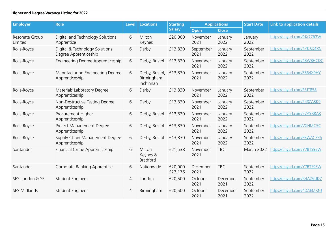| <b>Employer</b>           | <b>Role</b>                                             | <b>Level</b>   | <b>Locations</b>                                    | <b>Starting</b><br><b>Applications</b> |                   |                  | <b>Start Date</b> | <b>Link to application details</b> |
|---------------------------|---------------------------------------------------------|----------------|-----------------------------------------------------|----------------------------------------|-------------------|------------------|-------------------|------------------------------------|
|                           |                                                         |                |                                                     | <b>Salary</b>                          | Open              | <b>Close</b>     |                   |                                    |
| Resonate Group<br>Limited | Digital and Technology Solutions<br>Apprentice          | 6              | Milton<br>Keynes                                    | £20,000                                | November<br>2021  | January<br>2022  | January<br>2022   | https://tinyurl.com/9JX77B3W       |
| Rolls-Royce               | Digital & Technology Solutions<br>Degree Apprenticeship | 6              | Derby                                               | £13,830                                | September<br>2021 | January<br>2022  | September<br>2022 | https://tinyurl.com/2YK8X4XN       |
| Rolls-Royce               | Engineering Degree Apprenticeship                       | 6              | Derby, Bristol                                      | £13,830                                | November<br>2021  | January<br>2022  | September<br>2022 | https://tinyurl.com/4BW8HCDC       |
| Rolls-Royce               | Manufacturing Engineering Degree<br>Apprenticeship      | 6              | Derby, Bristol, £13,830<br>Birmingham,<br>Inchinnan |                                        | November<br>2021  | January<br>2022  | September<br>2022 | https://tinyurl.com/Z864X9HY       |
| Rolls-Royce               | Materials Laboratory Degree<br>Apprenticeship           | 6              | Derby                                               | £13,830                                | November<br>2021  | January<br>2022  | September<br>2022 | https://tinyurl.com/P5JT858        |
| Rolls-Royce               | Non-Destructive Testing Degree<br>Apprenticeship        | 6              | Derby                                               | £13,830                                | November<br>2021  | January<br>2022  | September<br>2022 | https://tinyurl.com/248ZABK9       |
| Rolls-Royce               | Procurement Higher<br>Apprenticeship                    | 6              | Derby, Bristol                                      | £13,830                                | November<br>2021  | January<br>2022  | September<br>2022 | https://tinyurl.com/57AYRRAK       |
| Rolls-Royce               | Project Management Degree<br>Apprenticeship             | 6              | Derby, Bristol                                      | £13,830                                | November<br>2021  | January<br>2022  | September<br>2022 | https://tinyurl.com/VXHMC5C        |
| Rolls-Royce               | Supply Chain Management Degree<br>Apprenticeship        | 6              | Derby, Bristol                                      | £13,830                                | November<br>2021  | January<br>2022  | September<br>2022 | https://tinyurl.com/PBWACZ35       |
| Santander                 | Financial Crime Apprenticeship                          | 6              | Milton<br>Keynes &<br><b>Bradford</b>               | £21,538                                | November<br>2021  | <b>TBC</b>       | March 2022        | https://tinyurl.com/Y7BTS9SW       |
| Santander                 | Corporate Banking Apprentice                            | 6              | Nationwide                                          | $£20,000 -$<br>£23,176                 | December<br>2021  | <b>TBC</b>       | September<br>2022 | https://tinyurl.com/Y7BTS9SW       |
| SES London & SE           | Student Engineer                                        | 4              | London                                              | £20,500                                | October<br>2021   | December<br>2021 | September<br>2022 | https://tinyurl.com/K4A2VUD7       |
| <b>SES Midlands</b>       | Student Engineer                                        | $\overline{4}$ | Birmingham                                          | £20,500                                | October<br>2021   | December<br>2021 | September<br>2022 | https://tinyurl.com/4DAEMKNJ       |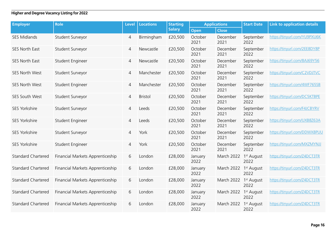| <b>Employer</b>           | <b>Role</b>                      | <b>Level</b>   | <b>Locations</b> | <b>Starting</b> | <b>Applications</b> |                  | <b>Start Date</b>              | <b>Link to application details</b> |
|---------------------------|----------------------------------|----------------|------------------|-----------------|---------------------|------------------|--------------------------------|------------------------------------|
|                           |                                  |                |                  | <b>Salary</b>   | <b>Open</b>         | <b>Close</b>     |                                |                                    |
| <b>SES Midlands</b>       | Student Surveyor                 | 4              | Birmingham       | £20,500         | October<br>2021     | December<br>2021 | September<br>2022              | https://tinyurl.com/YU9PXU6K       |
| SES North East            | Student Surveyor                 | $\overline{4}$ | Newcastle        | £20,500         | October<br>2021     | December<br>2021 | September<br>2022              | https://tinyurl.com/2EE8DY8P       |
| SES North East            | Student Engineer                 | 4              | Newcastle        | £20,500         | October<br>2021     | December<br>2021 | September<br>2022              | https://tinyurl.com/8AJ69Y56       |
| SES North West            | Student Surveyor                 | 4              | Manchester       | £20,500         | October<br>2021     | December<br>2021 | September<br>2022              | https://tinyurl.com/C2VDJTVC       |
| SES North West            | Student Engineer                 | $\overline{4}$ | Manchester       | £20,500         | October<br>2021     | December<br>2021 | September<br>2022              | https://tinyurl.com/4WF765SB       |
| SES South West            | Student Surveyor                 | $\overline{4}$ | <b>Bristol</b>   | £20,500         | October<br>2021     | December<br>2021 | September<br>2022              | https://tinyurl.com/DC5KTBPE       |
| SES Yorkshire             | Student Surveyor                 | $\overline{4}$ | Leeds            | £20,500         | October<br>2021     | December<br>2021 | September<br>2022              | https://tinyurl.com/F4JCBYRV       |
| <b>SES Yorkshire</b>      | Student Engineer                 | $\overline{4}$ | Leeds            | £20,500         | October<br>2021     | December<br>2021 | September<br>2022              | https://tinyurl.com/UXB8Z63A       |
| <b>SES Yorkshire</b>      | Student Surveyor                 | 4              | York             | £20,500         | October<br>2021     | December<br>2021 | September<br>2022              | https://tinyurl.com/DDWX8PUU       |
| SES Yorkshire             | Student Engineer                 | $\overline{4}$ | York             | £20,500         | October<br>2021     | December<br>2021 | September<br>2022              | https://tinyurl.com/MXZMYNJJ       |
| <b>Standard Chartered</b> | Financial Markets Apprenticeship | 6              | London           | £28,000         | January<br>2022     | March 2022       | 1 <sup>st</sup> August<br>2022 | https://tinyurl.com/Z4DCT3TR       |
| <b>Standard Chartered</b> | Financial Markets Apprenticeship | 6              | London           | £28,000         | January<br>2022     | March 2022       | 1 <sup>st</sup> August<br>2022 | https://tinyurl.com/Z4DCT3TR       |
| <b>Standard Chartered</b> | Financial Markets Apprenticeship | 6              | London           | £28,000         | January<br>2022     | March 2022       | 1 <sup>st</sup> August<br>2022 | https://tinyurl.com/Z4DCT3TR       |
| <b>Standard Chartered</b> | Financial Markets Apprenticeship | 6              | London           | £28,000         | January<br>2022     | March 2022       | 1 <sup>st</sup> August<br>2022 | https://tinyurl.com/Z4DCT3TR       |
| <b>Standard Chartered</b> | Financial Markets Apprenticeship | 6              | London           | £28,000         | January<br>2022     | March 2022       | 1 <sup>st</sup> August<br>2022 | https://tinyurl.com/Z4DCT3TR       |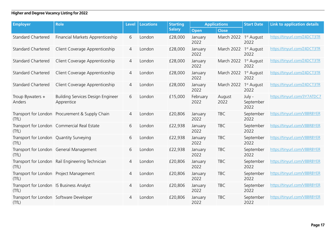| <b>Employer</b>                                   | <b>Role</b>                                      | <b>Level</b> | <b>Locations</b> | <b>Starting</b> | <b>Applications</b> |                | <b>Start Date</b>              | <b>Link to application details</b> |
|---------------------------------------------------|--------------------------------------------------|--------------|------------------|-----------------|---------------------|----------------|--------------------------------|------------------------------------|
|                                                   |                                                  |              |                  | <b>Salary</b>   | <b>Open</b>         | <b>Close</b>   |                                |                                    |
| <b>Standard Chartered</b>                         | Financial Markets Apprenticeship                 | 6            | London           | £28,000         | January<br>2022     | March 2022     | 1 <sup>st</sup> August<br>2022 | https://tinyurl.com/Z4DCT3TR       |
| <b>Standard Chartered</b>                         | Client Coverage Apprenticeship                   | 4            | London           | £28,000         | January<br>2022     | March 2022     | 1 <sup>st</sup> August<br>2022 | https://tinyurl.com/Z4DCT3TR       |
| <b>Standard Chartered</b>                         | Client Coverage Apprenticeship                   | 4            | London           | £28,000         | January<br>2022     | March 2022     | 1 <sup>st</sup> August<br>2022 | https://tinyurl.com/Z4DCT3TR       |
| <b>Standard Chartered</b>                         | Client Coverage Apprenticeship                   | 4            | London           | £28,000         | January<br>2022     | March 2022     | 1 <sup>st</sup> August<br>2022 | https://tinyurl.com/Z4DCT3TR       |
| <b>Standard Chartered</b>                         | Client Coverage Apprenticeship                   | 4            | London           | £28,000         | January<br>2022     | March 2022     | 1 <sup>st</sup> August<br>2022 | https://tinyurl.com/Z4DCT3TR       |
| Troup Bywaters +<br>Anders                        | Building Services Design Engineer<br>Apprentice  | 6            | London           | £15,000         | February<br>2022    | August<br>2022 | July -<br>September<br>2022    | https://tinyurl.com/3Y7ATDC7       |
| (TfL)                                             | Transport for London Procurement & Supply Chain  | 4            | London           | £20,806         | January<br>2022     | <b>TBC</b>     | September<br>2022              | https://tinyurl.com/V8BRBYER       |
| (TfL)                                             | Transport for London Commercial Real Estate      | 6            | London           | £22,938         | January<br>2022     | <b>TBC</b>     | September<br>2022              | https://tinyurl.com/V8BRBYER       |
| Transport for London Quantity Surveying<br>(TfL)  |                                                  | 6            | London           | £22,938         | January<br>2022     | <b>TBC</b>     | September<br>2022              | https://tinyurl.com/V8BRBYER       |
| (TfL)                                             | Transport for London General Management          | 6            | London           | £22,938         | January<br>2022     | <b>TBC</b>     | September<br>2022              | https://tinyurl.com/V8BRBYER       |
| (TfL)                                             | Transport for London Rail Engineering Technician | 4            | London           | £20,806         | January<br>2022     | <b>TBC</b>     | September<br>2022              | https://tinyurl.com/V8BRBYER       |
| (TfL)                                             | Transport for London Project Management          | 4            | London           | £20,806         | January<br>2022     | <b>TBC</b>     | September<br>2022              | https://tinyurl.com/V8BRBYER       |
| Transport for London IS Business Analyst<br>(TfL) |                                                  | 4            | London           | £20,806         | January<br>2022     | <b>TBC</b>     | September<br>2022              | https://tinyurl.com/V8BRBYER       |
| Transport for London Software Developer<br>(TfL)  |                                                  | 4            | London           | £20,806         | January<br>2022     | <b>TBC</b>     | September<br>2022              | https://tinyurl.com/V8BRBYER       |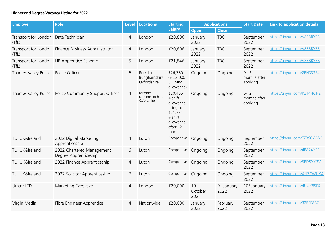| <b>Employer</b>                               | <b>Role</b>                                         | <b>Level</b>   | <b>Locations</b>                              | <b>Starting</b>                                                                                             | <b>Applications</b>                 |                                 | <b>Start Date</b>                    | <b>Link to application details</b> |
|-----------------------------------------------|-----------------------------------------------------|----------------|-----------------------------------------------|-------------------------------------------------------------------------------------------------------------|-------------------------------------|---------------------------------|--------------------------------------|------------------------------------|
|                                               |                                                     |                |                                               | <b>Salary</b>                                                                                               | <b>Open</b>                         | <b>Close</b>                    |                                      |                                    |
| Transport for London Data Technician<br>(TfL) |                                                     | $\overline{4}$ | London                                        | £20,806                                                                                                     | January<br>2022                     | <b>TBC</b>                      | September<br>2022                    | https://tinyurl.com/V8BRBYER       |
| (TfL)                                         | Transport for London Finance Business Administrator | 4              | London                                        | £20,806                                                                                                     | January<br>2022                     | <b>TBC</b>                      | September<br>2022                    | https://tinyurl.com/V8BRBYER       |
| (TfL)                                         | Transport for London HR Apprentice Scheme           | 5              | London                                        | £21,846                                                                                                     | January<br>2022                     | <b>TBC</b>                      | September<br>2022                    | https://tinyurl.com/V8BRBYER       |
| Thames Valley Police                          | Police Officer                                      | 6              | Berkshire,<br>Bunghamshire,<br>Oxfordshire    | £26,780<br>$(+ f2,000)$<br>SE living<br>allowance)                                                          | Ongoing                             | Ongoing                         | $9 - 12$<br>months after<br>applying | https://tinyurl.com/2RHS33P4       |
| Thames Valley Police                          | Police Community Support Officer                    | $\overline{4}$ | Berkshire,<br>Buckinghamshire,<br>Oxfordshire | £20,465<br>$+$ shift<br>allowance,<br>rising to<br>£21,771<br>$+$ shift<br>allowance,<br>after 12<br>months | Ongoing                             | Ongoing                         | $6 - 12$<br>months after<br>applying | https://tinyurl.com/KZT4HCH2       |
| TUI UK&Ireland                                | 2022 Digital Marketing<br>Apprenticeship            | $\overline{4}$ | Luton                                         | Competitive                                                                                                 | Ongoing                             | Ongoing                         | September<br>2022                    | https://tinyurl.com/TZBSCWWB       |
| TUI UK&Ireland                                | 2022 Chartered Management<br>Degree Apprenticeship  | 6              | Luton                                         | Competitive                                                                                                 | Ongoing                             | Ongoing                         | September<br>2022                    | https://tinyurl.com/4R824YPP       |
| TUI UK&Ireland                                | 2022 Finance Apprenticeship                         | $\overline{4}$ | Luton                                         | Competitive                                                                                                 | Ongoing                             | Ongoing                         | September<br>2022                    | https://tinyurl.com/5BD5YY3V       |
| TUI UK&Ireland                                | 2022 Solicitor Apprenticeship                       | 7              | Luton                                         | Competitive                                                                                                 | Ongoing                             | Ongoing                         | September<br>2022                    | https://tinyurl.com/AN7CWUXA       |
| Umatr LTD                                     | Marketing Executive                                 | $\overline{4}$ | London                                        | £20,000                                                                                                     | 19 <sup>th</sup><br>October<br>2021 | 9 <sup>th</sup> January<br>2022 | 10 <sup>th</sup> January<br>2022     | https://tinyurl.com/4UUK8SF6       |
| Virgin Media                                  | Fibre Engineer Apprentice                           | 4              | Nationwide                                    | £20,000                                                                                                     | January<br>2022                     | February<br>2022                | September<br>2022                    | https://tinyurl.com/32BFE8BC       |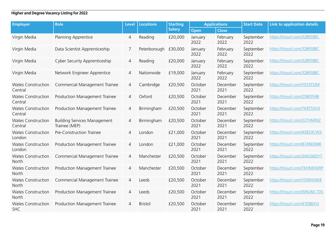| <b>Employer</b>                         | <b>Role</b>                                          | <b>Level</b>   | <b>Locations</b> | <b>Starting</b> | <b>Applications</b> |                  | <b>Start Date</b> | <b>Link to application details</b> |
|-----------------------------------------|------------------------------------------------------|----------------|------------------|-----------------|---------------------|------------------|-------------------|------------------------------------|
|                                         |                                                      |                |                  | <b>Salary</b>   | Open                | <b>Close</b>     |                   |                                    |
| Virgin Media                            | Planning Apprentice                                  | 4              | Reading          | £20,000         | January<br>2022     | February<br>2022 | September<br>2022 | https://tinyurl.com/32BFE8BC       |
| Virgin Media                            | Data Scientist Apprenticeship                        | 7              | Peterborough     | £30,000         | January<br>2022     | February<br>2022 | September<br>2022 | https://tinyurl.com/32BFE8BC       |
| Virgin Media                            | <b>Cyber Security Apprenticeship</b>                 | 4              | Reading          | £20,000         | January<br>2022     | February<br>2022 | September<br>2022 | https://tinyurl.com/32BFE8BC       |
| Virgin Media                            | Network Engineer Apprentice                          | 4              | Nationwide       | £19,000         | January<br>2022     | February<br>2022 | September<br>2022 | https://tinyurl.com/32BFE8BC       |
| <b>Wates Construction</b><br>Central    | Commercial Management Trainee                        | 4              | Cambridge        | £20,500         | October<br>2021     | December<br>2021 | September<br>2022 | https://tinyurl.com/YE33TSJM       |
| <b>Wates Construction</b><br>Central    | Production Management Trainee                        | 4              | Oxford           | £20,500         | October<br>2021     | December<br>2021 | September<br>2022 | https://tinyurl.com/258P2F4B       |
| <b>Wates Construction</b><br>Central    | Production Management Trainee                        | 4              | Birmingham       | £20,500         | October<br>2021     | December<br>2021 | September<br>2022 | https://tinyurl.com/7K8T55H3       |
| <b>Wates Construction</b><br>Central    | <b>Building Services Management</b><br>Trainee (MEP) | 4              | Birmingham       | £20,500         | October<br>2021     | December<br>2021 | September<br>2022 | https://tinyurl.com/227HMF6Z       |
| <b>Wates Construction</b><br>London     | Pre-Construction Trainee                             | $\overline{4}$ | London           | £21,000         | October<br>2021     | December<br>2021 | September<br>2022 | https://tinyurl.com/45833CWX       |
| <b>Wates Construction</b><br>London     | Production Management Trainee                        | 4              | London           | £21,000         | October<br>2021     | December<br>2021 | September<br>2022 | https://tinyurl.com/874NDNNK       |
| <b>Wates Construction</b><br>North      | Commercial Management Trainee                        | 4              | Manchester       | £20,500         | October<br>2021     | December<br>2021 | September<br>2022 | https://tinyurl.com/3WU36DY7       |
| <b>Wates Construction</b><br>North      | Production Management Trainee                        | $\overline{4}$ | Manchester       | £20,500         | October<br>2021     | December<br>2021 | September<br>2022 | https://tinyurl.com/TKHMDWRP       |
| <b>Wates Construction</b><br>North      | Commercial Management Trainee                        | $\overline{4}$ | Leeds            | £20,500         | October<br>2021     | December<br>2021 | September<br>2022 | https://tinyurl.com/YD9FAWKB       |
| <b>Wates Construction</b><br>North      | Production Management Trainee                        | 4              | Leeds            | £20,500         | October<br>2021     | December<br>2021 | September<br>2022 | https://tinyurl.com/WNUNC7DS       |
| <b>Wates Construction</b><br><b>SHC</b> | Production Management Trainee                        | 4              | <b>Bristol</b>   | £20,500         | October<br>2021     | December<br>2021 | September<br>2022 | https://tinyurl.com/47E88XVJ       |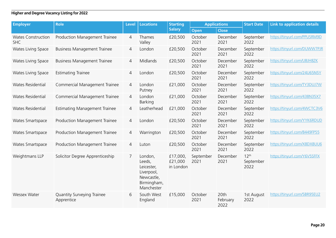| <b>Employer</b>                         | <b>Role</b>                              | <b>Level</b>   | <b>Locations</b>                                                                         | <b>Starting</b>                  | <b>Applications</b> |                          | <b>Start Date</b>                     | <b>Link to application details</b> |
|-----------------------------------------|------------------------------------------|----------------|------------------------------------------------------------------------------------------|----------------------------------|---------------------|--------------------------|---------------------------------------|------------------------------------|
|                                         |                                          |                |                                                                                          | <b>Salary</b>                    | Open                | <b>Close</b>             |                                       |                                    |
| <b>Wates Construction</b><br><b>SHC</b> | Production Management Trainee            | 4              | Thames<br>Valley                                                                         | £20,500                          | October<br>2021     | December<br>2021         | September<br>2022                     | https://tinyurl.com/PPUSRM9D       |
| Wates Living Space                      | <b>Business Management Trainee</b>       | 4              | London                                                                                   | £20,500                          | October<br>2021     | December<br>2021         | September<br>2022                     | https://tinyurl.com/DUWW7PJR       |
| Wates Living Space                      | <b>Business Management Trainee</b>       | 4              | Midlands                                                                                 | £20,500                          | October<br>2021     | December<br>2021         | September<br>2022                     | https://tinyurl.com/UBJH8ZK        |
| Wates Living Space                      | <b>Estimating Trainee</b>                | $\overline{4}$ | London                                                                                   | £20,500                          | October<br>2021     | December<br>2021         | September<br>2022                     | https://tinyurl.com/24U65N5Y       |
| Wates Residential                       | Commercial Management Trainee            | 4              | London<br>Putney                                                                         | £21,000                          | October<br>2021     | December<br>2021         | September<br>2022                     | https://tinyurl.com/TY3DUJ7W       |
| Wates Residential                       | Commercial Management Trainee            | 4              | London<br>Barking                                                                        | £21,000                          | October<br>2021     | December<br>2021         | September<br>2022                     | https://tinyurl.com/438N35X7       |
| Wates Residential                       | <b>Estimating Management Trainee</b>     | $\overline{4}$ | Leatherhead                                                                              | £21,000                          | October<br>2021     | December<br>2021         | September<br>2022                     | https://tinyurl.com/4WCTC3V6       |
| Wates Smartspace                        | Production Management Trainee            | 4              | London                                                                                   | £20,500                          | October<br>2021     | December<br>2021         | September<br>2022                     | https://tinyurl.com/YYK6RDUD       |
| Wates Smartspace                        | Production Management Trainee            | $\overline{4}$ | Warrington                                                                               | £20,500                          | October<br>2021     | December<br>2021         | September<br>2022                     | https://tinyurl.com/8449FP55       |
| Wates Smartspace                        | Production Management Trainee            | 4              | Luton                                                                                    | £20,500                          | October<br>2021     | December<br>2021         | September<br>2022                     | https://tinyurl.com/X8DX8UU6       |
| Weightmans LLP                          | Solicitor Degree Apprenticeship          | 7              | London,<br>Leeds,<br>Leicester,<br>Liverpool,<br>Newcastle,<br>Birmingham,<br>Manchester | £17,000,<br>£21,000<br>in London | September<br>2021   | December<br>2021         | 12 <sup>th</sup><br>September<br>2022 | https://tinyurl.com/Y6V5SFFX       |
| <b>Wessex Water</b>                     | Quantity Surveying Trainee<br>Apprentice | 6              | South West<br>England                                                                    | £15,000                          | October<br>2021     | 20th<br>February<br>2022 | 1st August<br>2022                    | https://tinyurl.com/5BR95EU2       |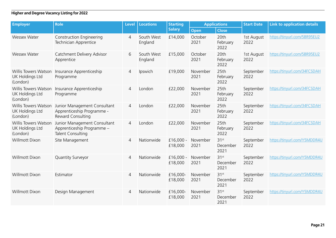| <b>Employer</b>                                            | <b>Role</b>                                                                            | <b>Level</b>   | <b>Locations</b>      | <b>Starting</b>        | <b>Applications</b> |                                      | <b>Start Date</b>  | <b>Link to application details</b> |
|------------------------------------------------------------|----------------------------------------------------------------------------------------|----------------|-----------------------|------------------------|---------------------|--------------------------------------|--------------------|------------------------------------|
|                                                            |                                                                                        |                |                       | <b>Salary</b>          | Open                | <b>Close</b>                         |                    |                                    |
| <b>Wessex Water</b>                                        | <b>Construction Engineering</b><br>Technician Apprentice                               | $\overline{4}$ | South West<br>England | £14,000                | October<br>2021     | 20th<br>February<br>2022             | 1st August<br>2022 | https://tinyurl.com/5BR95EU2       |
| <b>Wessex Water</b>                                        | Catchment Delivery Advisor<br>Apprentice                                               | 6              | South West<br>England | £15,000                | October<br>2021     | 20th<br>February<br>2022             | 1st August<br>2022 | https://tinyurl.com/5BR95EU2       |
| Willis Towers Watson<br><b>UK Holdings Ltd</b><br>(London) | Insurance Apprenticeship<br>Programme                                                  | $\overline{4}$ | Ipswich               | £19,000                | November<br>2021    | 25th<br>February<br>2022             | September<br>2022  | https://tinyurl.com/34FCSDAH       |
| Willis Towers Watson<br><b>UK Holdings Ltd</b><br>(London) | Insurance Apprenticeship<br>Programme                                                  | $\overline{4}$ | London                | £22,000                | November<br>2021    | 25th<br>February<br>2022             | September<br>2022  | https://tinyurl.com/34FCSDAH       |
| Willis Towers Watson<br><b>UK Holdings Ltd</b><br>(London) | Junior Management Consultant<br>Apprenticeship Programme -<br>Reward Consulting        | 4              | London                | £22,000                | November<br>2021    | 25th<br>February<br>2022             | September<br>2022  | https://tinyurl.com/34FCSDAH       |
| Willis Towers Watson<br><b>UK Holdings Ltd</b><br>(London) | Junior Management Consultant<br>Apprenticeship Programme -<br><b>Talent Consulting</b> | 4              | London                | £22,000                | November<br>2021    | 25 <sub>th</sub><br>February<br>2022 | September<br>2022  | https://tinyurl.com/34FCSDAH       |
| <b>Willmott Dixon</b>                                      | Site Management                                                                        | $\overline{4}$ | Nationwide            | £16,000 -<br>£18,000   | November<br>2021    | 31 <sup>st</sup><br>December<br>2021 | September<br>2022  | https://tinyurl.com/Y5MDDR4U       |
| Willmott Dixon                                             | <b>Quantity Surveyor</b>                                                               | 4              | Nationwide            | $£16,000 -$<br>£18,000 | November<br>2021    | 31 <sup>st</sup><br>December<br>2021 | September<br>2022  | https://tinyurl.com/Y5MDDR4U       |
| <b>Willmott Dixon</b>                                      | Estimator                                                                              | 4              | Nationwide            | £16,000-<br>£18,000    | November<br>2021    | 31 <sup>st</sup><br>December<br>2021 | September<br>2022  | https://tinyurl.com/Y5MDDR4U       |
| <b>Willmott Dixon</b>                                      | Design Management                                                                      | 4              | Nationwide            | £16,000-<br>£18,000    | November<br>2021    | 31 <sup>st</sup><br>December<br>2021 | September<br>2022  | https://tinyurl.com/Y5MDDR4U       |